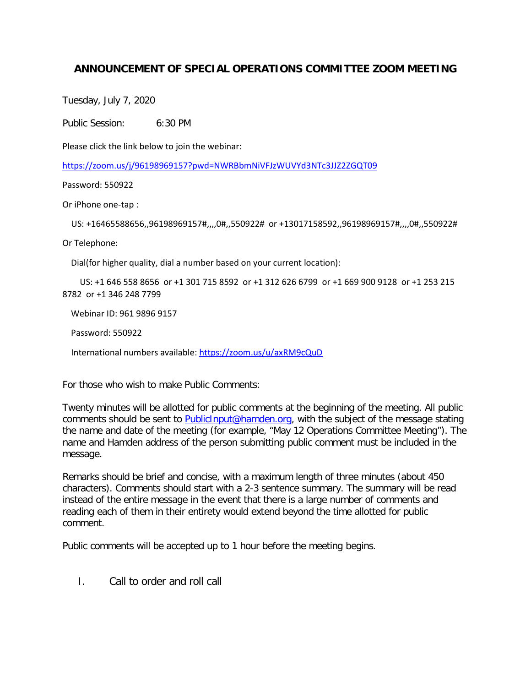## **ANNOUNCEMENT OF SPECIAL OPERATIONS COMMITTEE ZOOM MEETING**

Tuesday, July 7, 2020

Public Session: 6:30 PM

Please click the link below to join the webinar:

<https://zoom.us/j/96198969157?pwd=NWRBbmNiVFJzWUVYd3NTc3JJZ2ZGQT09>

Password: 550922

Or iPhone one-tap :

US: +16465588656,,96198969157#,,,,0#,,550922# or +13017158592,,96198969157#,,,,0#,,550922#

Or Telephone:

Dial(for higher quality, dial a number based on your current location):

 US: +1 646 558 8656 or +1 301 715 8592 or +1 312 626 6799 or +1 669 900 9128 or +1 253 215 8782 or +1 346 248 7799

Webinar ID: 961 9896 9157

Password: 550922

International numbers available:<https://zoom.us/u/axRM9cQuD>

For those who wish to make Public Comments:

Twenty minutes will be allotted for public comments at the beginning of the meeting. All public comments should be sent to [PublicInput@hamden.org,](mailto:PublicInput@hamden.org) with the subject of the message stating the name and date of the meeting (for example, "May 12 Operations Committee Meeting"). The name and Hamden address of the person submitting public comment must be included in the message.

Remarks should be brief and concise, with a maximum length of three minutes (about 450 characters). Comments should start with a 2-3 sentence summary. The summary will be read instead of the entire message in the event that there is a large number of comments and reading each of them in their entirety would extend beyond the time allotted for public comment.

Public comments will be accepted up to 1 hour before the meeting begins.

I. Call to order and roll call